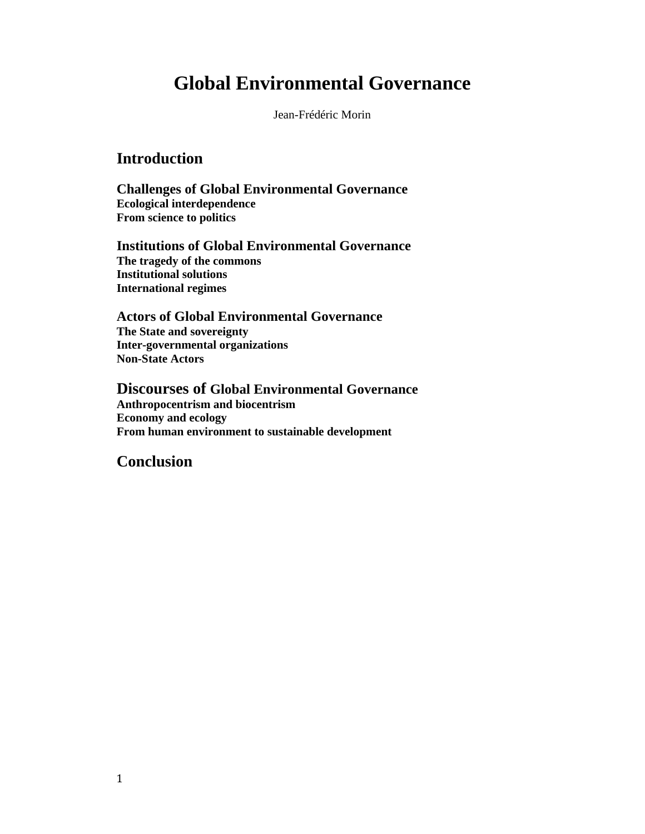# **Global Environmental Governance**

Jean-Frédéric Morin

## **Introduction**

**Challenges of Global Environmental Governance Ecological interdependence From science to politics** 

**Institutions of Global Environmental Governance The tragedy of the commons Institutional solutions International regimes** 

**Actors of Global Environmental Governance The State and sovereignty Inter-governmental organizations Non-State Actors** 

**Discourses of Global Environmental Governance Anthropocentrism and biocentrism Economy and ecology From human environment to sustainable development**

## **Conclusion**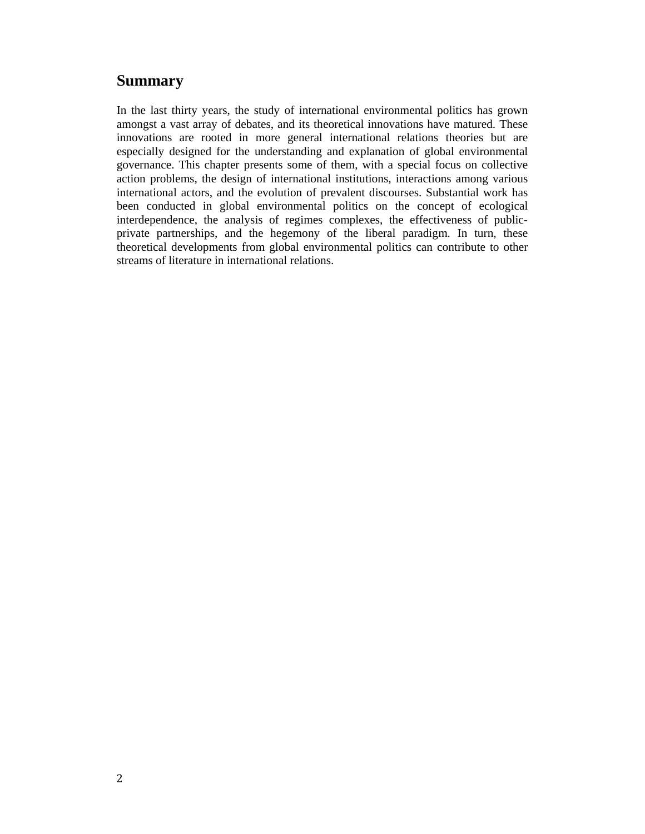## **Summary**

In the last thirty years, the study of international environmental politics has grown amongst a vast array of debates, and its theoretical innovations have matured. These innovations are rooted in more general international relations theories but are especially designed for the understanding and explanation of global environmental governance. This chapter presents some of them, with a special focus on collective action problems, the design of international institutions, interactions among various international actors, and the evolution of prevalent discourses. Substantial work has been conducted in global environmental politics on the concept of ecological interdependence, the analysis of regimes complexes, the effectiveness of publicprivate partnerships, and the hegemony of the liberal paradigm. In turn, these theoretical developments from global environmental politics can contribute to other streams of literature in international relations.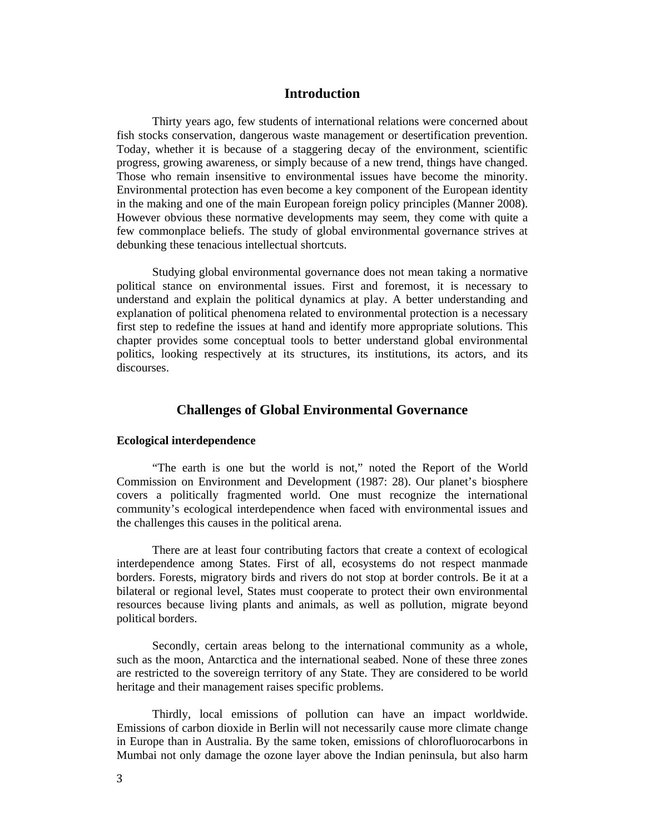### **Introduction**

Thirty years ago, few students of international relations were concerned about fish stocks conservation, dangerous waste management or desertification prevention. Today, whether it is because of a staggering decay of the environment, scientific progress, growing awareness, or simply because of a new trend, things have changed. Those who remain insensitive to environmental issues have become the minority. Environmental protection has even become a key component of the European identity in the making and one of the main European foreign policy principles (Manner 2008). However obvious these normative developments may seem, they come with quite a few commonplace beliefs. The study of global environmental governance strives at debunking these tenacious intellectual shortcuts.

 Studying global environmental governance does not mean taking a normative political stance on environmental issues. First and foremost, it is necessary to understand and explain the political dynamics at play. A better understanding and explanation of political phenomena related to environmental protection is a necessary first step to redefine the issues at hand and identify more appropriate solutions. This chapter provides some conceptual tools to better understand global environmental politics, looking respectively at its structures, its institutions, its actors, and its discourses.

### **Challenges of Global Environmental Governance**

#### **Ecological interdependence**

"The earth is one but the world is not," noted the Report of the World Commission on Environment and Development (1987: 28). Our planet's biosphere covers a politically fragmented world. One must recognize the international community's ecological interdependence when faced with environmental issues and the challenges this causes in the political arena.

There are at least four contributing factors that create a context of ecological interdependence among States. First of all, ecosystems do not respect manmade borders. Forests, migratory birds and rivers do not stop at border controls. Be it at a bilateral or regional level, States must cooperate to protect their own environmental resources because living plants and animals, as well as pollution, migrate beyond political borders.

 Secondly, certain areas belong to the international community as a whole, such as the moon, Antarctica and the international seabed. None of these three zones are restricted to the sovereign territory of any State. They are considered to be world heritage and their management raises specific problems.

Thirdly, local emissions of pollution can have an impact worldwide. Emissions of carbon dioxide in Berlin will not necessarily cause more climate change in Europe than in Australia. By the same token, emissions of chlorofluorocarbons in Mumbai not only damage the ozone layer above the Indian peninsula, but also harm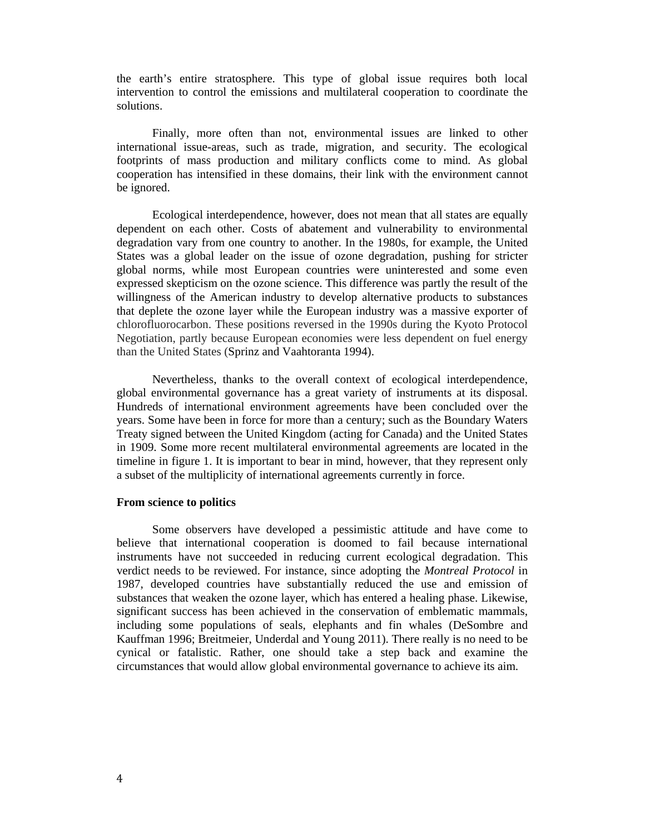the earth's entire stratosphere. This type of global issue requires both local intervention to control the emissions and multilateral cooperation to coordinate the solutions.

Finally, more often than not, environmental issues are linked to other international issue-areas, such as trade, migration, and security. The ecological footprints of mass production and military conflicts come to mind. As global cooperation has intensified in these domains, their link with the environment cannot be ignored.

Ecological interdependence, however, does not mean that all states are equally dependent on each other. Costs of abatement and vulnerability to environmental degradation vary from one country to another. In the 1980s, for example, the United States was a global leader on the issue of ozone degradation, pushing for stricter global norms, while most European countries were uninterested and some even expressed skepticism on the ozone science. This difference was partly the result of the willingness of the American industry to develop alternative products to substances that deplete the ozone layer while the European industry was a massive exporter of chlorofluorocarbon. These positions reversed in the 1990s during the Kyoto Protocol Negotiation, partly because European economies were less dependent on fuel energy than the United States (Sprinz and Vaahtoranta 1994).

Nevertheless, thanks to the overall context of ecological interdependence, global environmental governance has a great variety of instruments at its disposal. Hundreds of international environment agreements have been concluded over the years. Some have been in force for more than a century; such as the Boundary Waters Treaty signed between the United Kingdom (acting for Canada) and the United States in 1909. Some more recent multilateral environmental agreements are located in the timeline in figure 1. It is important to bear in mind, however, that they represent only a subset of the multiplicity of international agreements currently in force.

#### **From science to politics**

 Some observers have developed a pessimistic attitude and have come to believe that international cooperation is doomed to fail because international instruments have not succeeded in reducing current ecological degradation. This verdict needs to be reviewed. For instance, since adopting the *Montreal Protocol* in 1987, developed countries have substantially reduced the use and emission of substances that weaken the ozone layer, which has entered a healing phase. Likewise, significant success has been achieved in the conservation of emblematic mammals, including some populations of seals, elephants and fin whales (DeSombre and Kauffman 1996; Breitmeier, Underdal and Young 2011). There really is no need to be cynical or fatalistic. Rather, one should take a step back and examine the circumstances that would allow global environmental governance to achieve its aim.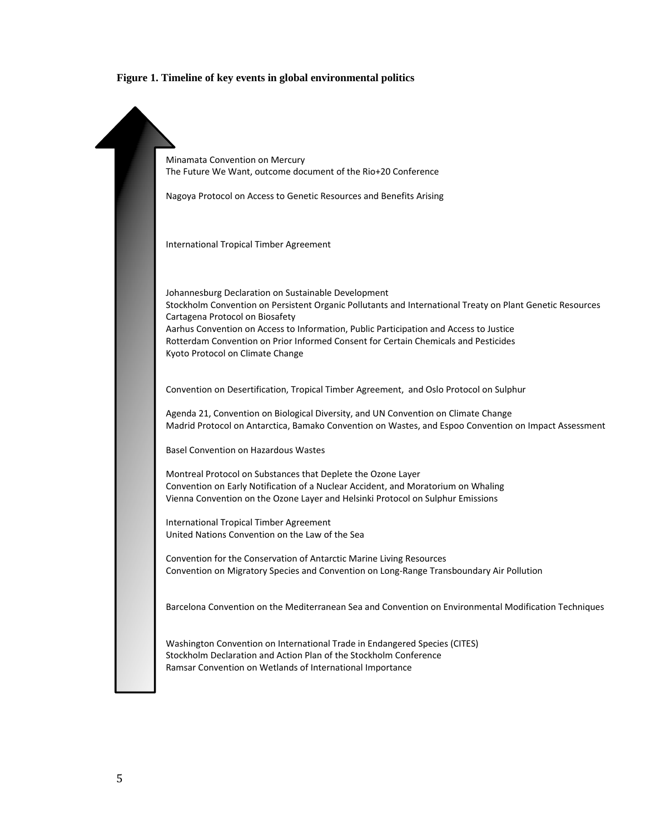#### **Figure 1. Timeline of key events in global environmental politics**

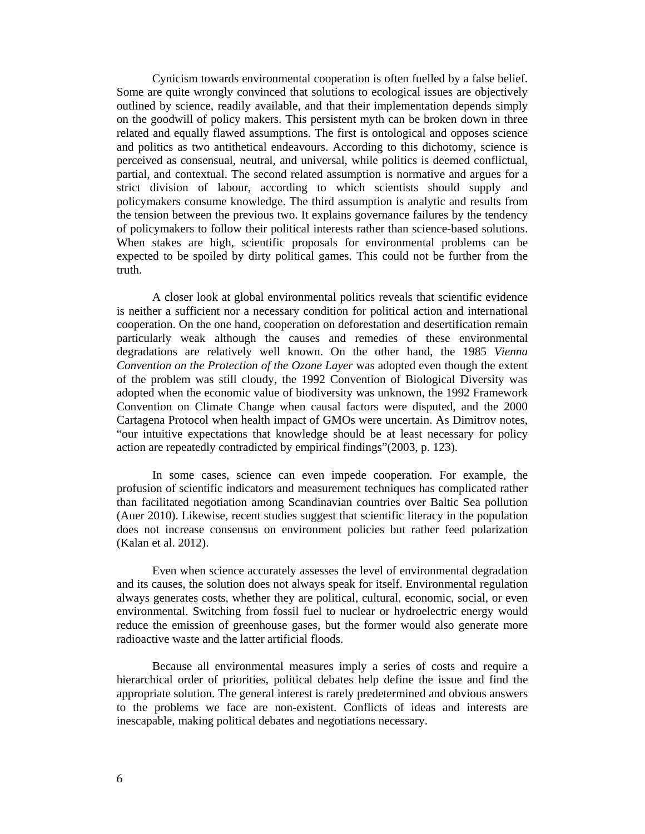Cynicism towards environmental cooperation is often fuelled by a false belief. Some are quite wrongly convinced that solutions to ecological issues are objectively outlined by science, readily available, and that their implementation depends simply on the goodwill of policy makers. This persistent myth can be broken down in three related and equally flawed assumptions. The first is ontological and opposes science and politics as two antithetical endeavours. According to this dichotomy, science is perceived as consensual, neutral, and universal, while politics is deemed conflictual, partial, and contextual. The second related assumption is normative and argues for a strict division of labour, according to which scientists should supply and policymakers consume knowledge. The third assumption is analytic and results from the tension between the previous two. It explains governance failures by the tendency of policymakers to follow their political interests rather than science-based solutions. When stakes are high, scientific proposals for environmental problems can be expected to be spoiled by dirty political games. This could not be further from the truth.

A closer look at global environmental politics reveals that scientific evidence is neither a sufficient nor a necessary condition for political action and international cooperation. On the one hand, cooperation on deforestation and desertification remain particularly weak although the causes and remedies of these environmental degradations are relatively well known. On the other hand, the 1985 *Vienna Convention on the Protection of the Ozone Layer* was adopted even though the extent of the problem was still cloudy, the 1992 Convention of Biological Diversity was adopted when the economic value of biodiversity was unknown, the 1992 Framework Convention on Climate Change when causal factors were disputed, and the 2000 Cartagena Protocol when health impact of GMOs were uncertain. As Dimitrov notes, "our intuitive expectations that knowledge should be at least necessary for policy action are repeatedly contradicted by empirical findings"(2003, p. 123).

In some cases, science can even impede cooperation. For example, the profusion of scientific indicators and measurement techniques has complicated rather than facilitated negotiation among Scandinavian countries over Baltic Sea pollution (Auer 2010). Likewise, recent studies suggest that scientific literacy in the population does not increase consensus on environment policies but rather feed polarization (Kalan et al. 2012).

 Even when science accurately assesses the level of environmental degradation and its causes, the solution does not always speak for itself. Environmental regulation always generates costs, whether they are political, cultural, economic, social, or even environmental. Switching from fossil fuel to nuclear or hydroelectric energy would reduce the emission of greenhouse gases, but the former would also generate more radioactive waste and the latter artificial floods.

Because all environmental measures imply a series of costs and require a hierarchical order of priorities, political debates help define the issue and find the appropriate solution. The general interest is rarely predetermined and obvious answers to the problems we face are non-existent. Conflicts of ideas and interests are inescapable, making political debates and negotiations necessary.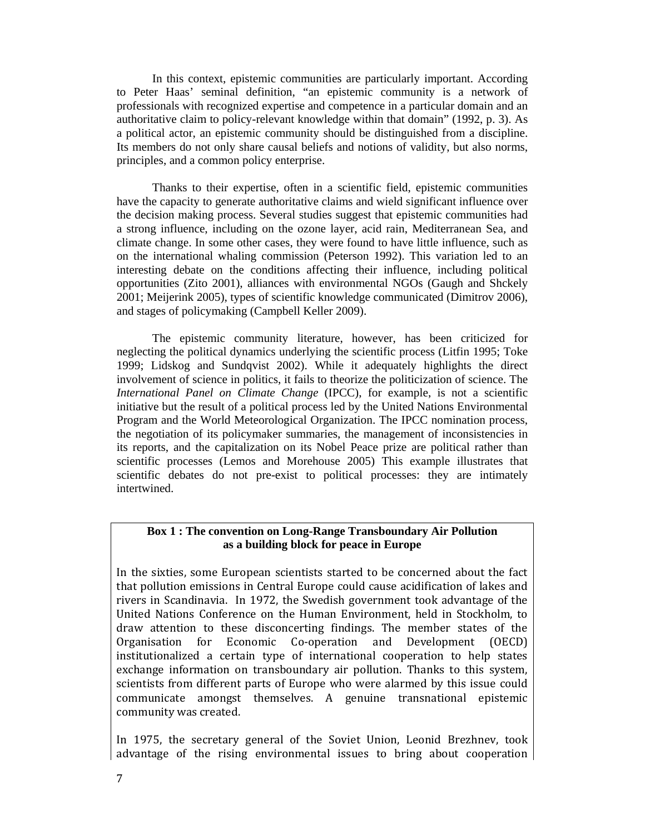In this context, epistemic communities are particularly important. According to Peter Haas' seminal definition, "an epistemic community is a network of professionals with recognized expertise and competence in a particular domain and an authoritative claim to policy-relevant knowledge within that domain" (1992, p. 3). As a political actor, an epistemic community should be distinguished from a discipline. Its members do not only share causal beliefs and notions of validity, but also norms, principles, and a common policy enterprise.

Thanks to their expertise, often in a scientific field, epistemic communities have the capacity to generate authoritative claims and wield significant influence over the decision making process. Several studies suggest that epistemic communities had a strong influence, including on the ozone layer, acid rain, Mediterranean Sea, and climate change. In some other cases, they were found to have little influence, such as on the international whaling commission (Peterson 1992). This variation led to an interesting debate on the conditions affecting their influence, including political opportunities (Zito 2001), alliances with environmental NGOs (Gaugh and Shckely 2001; Meijerink 2005), types of scientific knowledge communicated (Dimitrov 2006), and stages of policymaking (Campbell Keller 2009).

The epistemic community literature, however, has been criticized for neglecting the political dynamics underlying the scientific process (Litfin 1995; Toke 1999; Lidskog and Sundqvist 2002). While it adequately highlights the direct involvement of science in politics, it fails to theorize the politicization of science. The *International Panel on Climate Change* (IPCC), for example, is not a scientific initiative but the result of a political process led by the United Nations Environmental Program and the World Meteorological Organization. The IPCC nomination process, the negotiation of its policymaker summaries, the management of inconsistencies in its reports, and the capitalization on its Nobel Peace prize are political rather than scientific processes (Lemos and Morehouse 2005) This example illustrates that scientific debates do not pre-exist to political processes: they are intimately intertwined.

### **Box 1 : The convention on Long-Range Transboundary Air Pollution as a building block for peace in Europe**

In the sixties, some European scientists started to be concerned about the fact that pollution emissions in Central Europe could cause acidification of lakes and rivers in Scandinavia. In 1972, the Swedish government took advantage of the United Nations Conference on the Human Environment, held in Stockholm, to draw attention to these disconcerting findings. The member states of the Organisation for Economic Co-operation and Development (OECD) institutionalized a certain type of international cooperation to help states exchange information on transboundary air pollution. Thanks to this system, scientists from different parts of Europe who were alarmed by this issue could communicate amongst themselves. A genuine transnational epistemic community was created.

In 1975, the secretary general of the Soviet Union, Leonid Brezhnev, took advantage of the rising environmental issues to bring about cooperation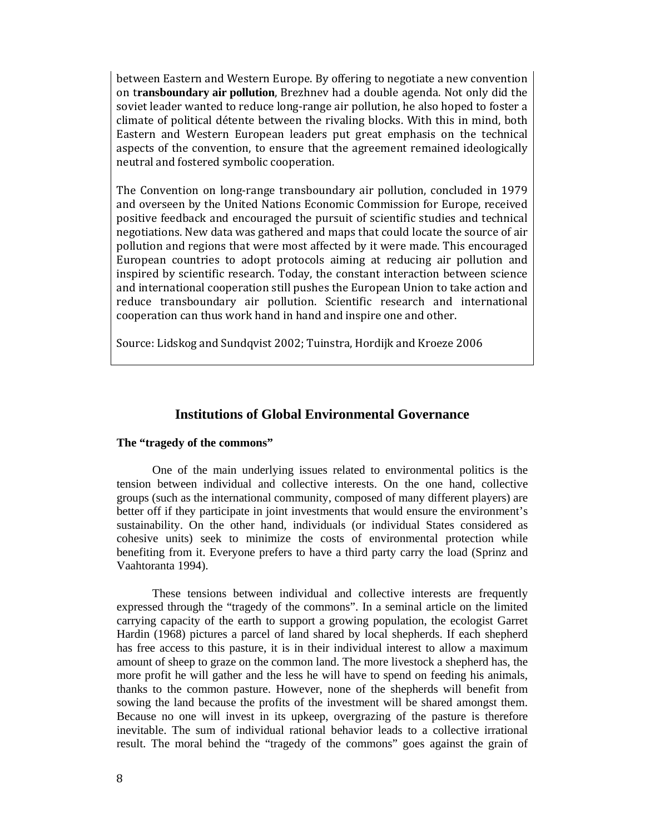between Eastern and Western Europe. By offering to negotiate a new convention on transboundary air pollution, Brezhnev had a double agenda. Not only did the soviet leader wanted to reduce long-range air pollution, he also hoped to foster a climate of political détente between the rivaling blocks. With this in mind, both Eastern and Western European leaders put great emphasis on the technical aspects of the convention, to ensure that the agreement remained ideologically neutral and fostered symbolic cooperation.

The Convention on long-range transboundary air pollution, concluded in 1979 and overseen by the United Nations Economic Commission for Europe, received positive feedback and encouraged the pursuit of scientific studies and technical negotiations. New data was gathered and maps that could locate the source of air pollution and regions that were most affected by it were made. This encouraged European countries to adopt protocols aiming at reducing air pollution and inspired by scientific research. Today, the constant interaction between science and international cooperation still pushes the European Union to take action and reduce transboundary air pollution. Scientific research and international cooperation can thus work hand in hand and inspire one and other.

Source: Lidskog and Sundqvist 2002; Tuinstra, Hordijk and Kroeze 2006

### **Institutions of Global Environmental Governance**

### **The "tragedy of the commons"**

 One of the main underlying issues related to environmental politics is the tension between individual and collective interests. On the one hand, collective groups (such as the international community, composed of many different players) are better off if they participate in joint investments that would ensure the environment's sustainability. On the other hand, individuals (or individual States considered as cohesive units) seek to minimize the costs of environmental protection while benefiting from it. Everyone prefers to have a third party carry the load (Sprinz and Vaahtoranta 1994).

 These tensions between individual and collective interests are frequently expressed through the "tragedy of the commons". In a seminal article on the limited carrying capacity of the earth to support a growing population, the ecologist Garret Hardin (1968) pictures a parcel of land shared by local shepherds. If each shepherd has free access to this pasture, it is in their individual interest to allow a maximum amount of sheep to graze on the common land. The more livestock a shepherd has, the more profit he will gather and the less he will have to spend on feeding his animals, thanks to the common pasture. However, none of the shepherds will benefit from sowing the land because the profits of the investment will be shared amongst them. Because no one will invest in its upkeep, overgrazing of the pasture is therefore inevitable. The sum of individual rational behavior leads to a collective irrational result. The moral behind the "tragedy of the commons" goes against the grain of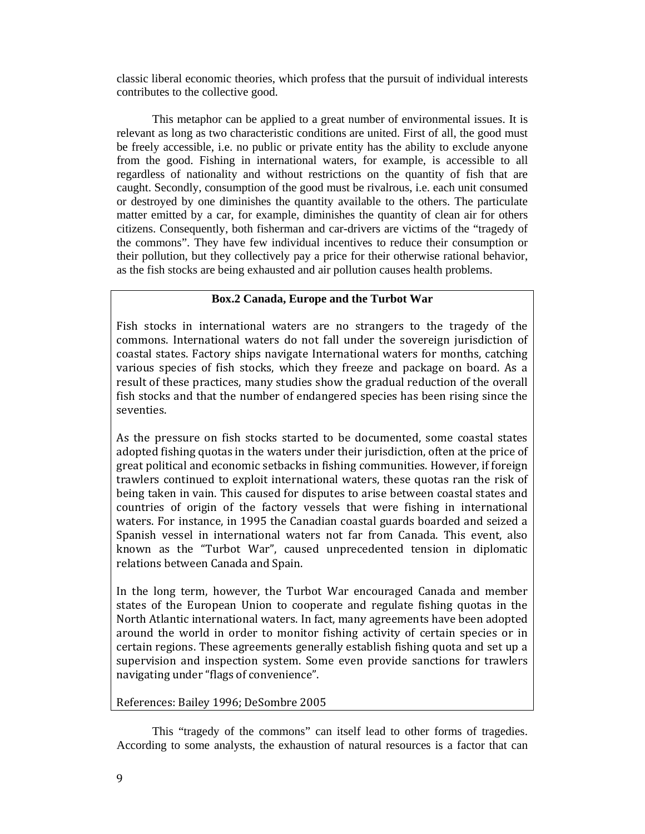classic liberal economic theories, which profess that the pursuit of individual interests contributes to the collective good.

 This metaphor can be applied to a great number of environmental issues. It is relevant as long as two characteristic conditions are united. First of all, the good must be freely accessible, i.e. no public or private entity has the ability to exclude anyone from the good. Fishing in international waters, for example, is accessible to all regardless of nationality and without restrictions on the quantity of fish that are caught. Secondly, consumption of the good must be rivalrous, i.e. each unit consumed or destroyed by one diminishes the quantity available to the others. The particulate matter emitted by a car, for example, diminishes the quantity of clean air for others citizens. Consequently, both fisherman and car-drivers are victims of the "tragedy of the commons". They have few individual incentives to reduce their consumption or their pollution, but they collectively pay a price for their otherwise rational behavior, as the fish stocks are being exhausted and air pollution causes health problems.

### **Box.2 Canada, Europe and the Turbot War**

Fish stocks in international waters are no strangers to the tragedy of the commons. International waters do not fall under the sovereign jurisdiction of coastal states. Factory ships navigate International waters for months, catching various species of fish stocks, which they freeze and package on board. As a result of these practices, many studies show the gradual reduction of the overall fish stocks and that the number of endangered species has been rising since the seventies. 

As the pressure on fish stocks started to be documented, some coastal states adopted fishing quotas in the waters under their jurisdiction, often at the price of great political and economic setbacks in fishing communities. However, if foreign trawlers continued to exploit international waters, these quotas ran the risk of being taken in vain. This caused for disputes to arise between coastal states and countries of origin of the factory vessels that were fishing in international waters. For instance, in 1995 the Canadian coastal guards boarded and seized a Spanish vessel in international waters not far from Canada. This event, also known as the "Turbot War", caused unprecedented tension in diplomatic relations between Canada and Spain.

In the long term, however, the Turbot War encouraged Canada and member states of the European Union to cooperate and regulate fishing quotas in the North Atlantic international waters. In fact, many agreements have been adopted around the world in order to monitor fishing activity of certain species or in certain regions. These agreements generally establish fishing quota and set up a supervision and inspection system. Some even provide sanctions for trawlers navigating under "flags of convenience".

References: Bailey 1996; DeSombre 2005

This "tragedy of the commons" can itself lead to other forms of tragedies. According to some analysts, the exhaustion of natural resources is a factor that can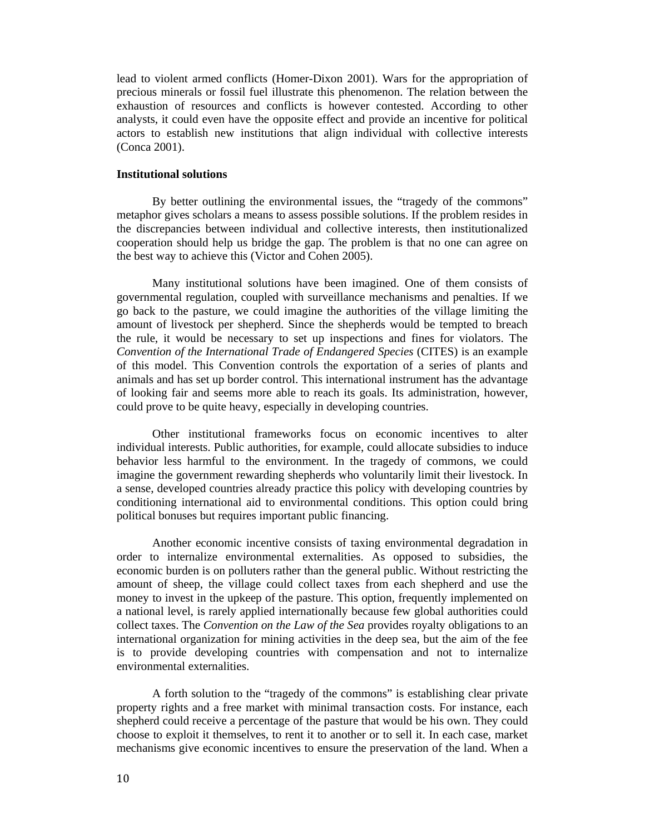lead to violent armed conflicts (Homer-Dixon 2001). Wars for the appropriation of precious minerals or fossil fuel illustrate this phenomenon. The relation between the exhaustion of resources and conflicts is however contested. According to other analysts, it could even have the opposite effect and provide an incentive for political actors to establish new institutions that align individual with collective interests (Conca 2001).

#### **Institutional solutions**

 By better outlining the environmental issues, the "tragedy of the commons" metaphor gives scholars a means to assess possible solutions. If the problem resides in the discrepancies between individual and collective interests, then institutionalized cooperation should help us bridge the gap. The problem is that no one can agree on the best way to achieve this (Victor and Cohen 2005).

Many institutional solutions have been imagined. One of them consists of governmental regulation, coupled with surveillance mechanisms and penalties. If we go back to the pasture, we could imagine the authorities of the village limiting the amount of livestock per shepherd. Since the shepherds would be tempted to breach the rule, it would be necessary to set up inspections and fines for violators. The *Convention of the International Trade of Endangered Species* (CITES) is an example of this model. This Convention controls the exportation of a series of plants and animals and has set up border control. This international instrument has the advantage of looking fair and seems more able to reach its goals. Its administration, however, could prove to be quite heavy, especially in developing countries.

 Other institutional frameworks focus on economic incentives to alter individual interests. Public authorities, for example, could allocate subsidies to induce behavior less harmful to the environment. In the tragedy of commons, we could imagine the government rewarding shepherds who voluntarily limit their livestock. In a sense, developed countries already practice this policy with developing countries by conditioning international aid to environmental conditions. This option could bring political bonuses but requires important public financing.

 Another economic incentive consists of taxing environmental degradation in order to internalize environmental externalities. As opposed to subsidies, the economic burden is on polluters rather than the general public. Without restricting the amount of sheep, the village could collect taxes from each shepherd and use the money to invest in the upkeep of the pasture. This option, frequently implemented on a national level, is rarely applied internationally because few global authorities could collect taxes. The *Convention on the Law of the Sea* provides royalty obligations to an international organization for mining activities in the deep sea, but the aim of the fee is to provide developing countries with compensation and not to internalize environmental externalities.

 A forth solution to the "tragedy of the commons" is establishing clear private property rights and a free market with minimal transaction costs. For instance, each shepherd could receive a percentage of the pasture that would be his own. They could choose to exploit it themselves, to rent it to another or to sell it. In each case, market mechanisms give economic incentives to ensure the preservation of the land. When a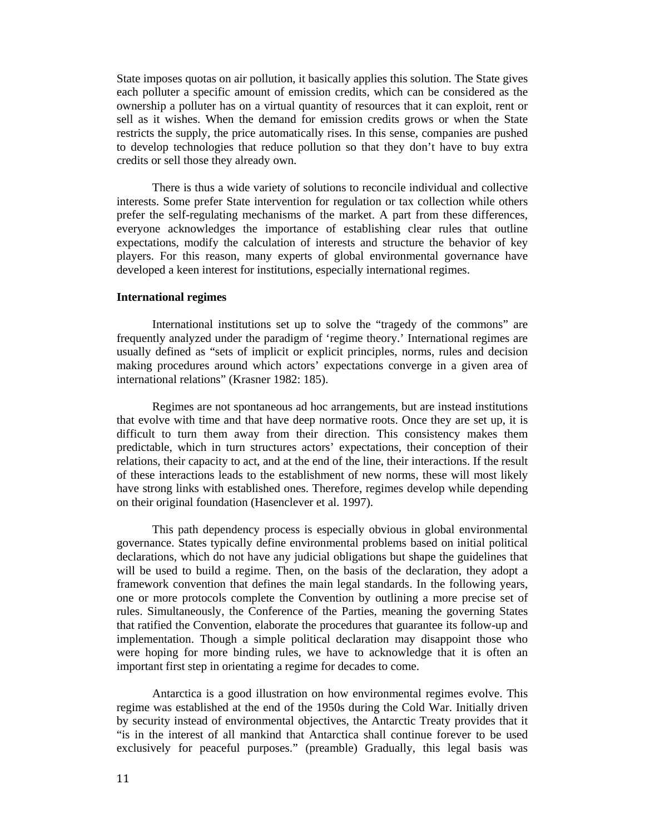State imposes quotas on air pollution, it basically applies this solution. The State gives each polluter a specific amount of emission credits, which can be considered as the ownership a polluter has on a virtual quantity of resources that it can exploit, rent or sell as it wishes. When the demand for emission credits grows or when the State restricts the supply, the price automatically rises. In this sense, companies are pushed to develop technologies that reduce pollution so that they don't have to buy extra credits or sell those they already own.

 There is thus a wide variety of solutions to reconcile individual and collective interests. Some prefer State intervention for regulation or tax collection while others prefer the self-regulating mechanisms of the market. A part from these differences, everyone acknowledges the importance of establishing clear rules that outline expectations, modify the calculation of interests and structure the behavior of key players. For this reason, many experts of global environmental governance have developed a keen interest for institutions, especially international regimes.

#### **International regimes**

 International institutions set up to solve the "tragedy of the commons" are frequently analyzed under the paradigm of 'regime theory.' International regimes are usually defined as "sets of implicit or explicit principles, norms, rules and decision making procedures around which actors' expectations converge in a given area of international relations" (Krasner 1982: 185).

 Regimes are not spontaneous ad hoc arrangements, but are instead institutions that evolve with time and that have deep normative roots. Once they are set up, it is difficult to turn them away from their direction. This consistency makes them predictable, which in turn structures actors' expectations, their conception of their relations, their capacity to act, and at the end of the line, their interactions. If the result of these interactions leads to the establishment of new norms, these will most likely have strong links with established ones. Therefore, regimes develop while depending on their original foundation (Hasenclever et al. 1997).

 This path dependency process is especially obvious in global environmental governance. States typically define environmental problems based on initial political declarations, which do not have any judicial obligations but shape the guidelines that will be used to build a regime. Then, on the basis of the declaration, they adopt a framework convention that defines the main legal standards. In the following years, one or more protocols complete the Convention by outlining a more precise set of rules. Simultaneously, the Conference of the Parties, meaning the governing States that ratified the Convention, elaborate the procedures that guarantee its follow-up and implementation. Though a simple political declaration may disappoint those who were hoping for more binding rules, we have to acknowledge that it is often an important first step in orientating a regime for decades to come.

 Antarctica is a good illustration on how environmental regimes evolve. This regime was established at the end of the 1950s during the Cold War. Initially driven by security instead of environmental objectives, the Antarctic Treaty provides that it "is in the interest of all mankind that Antarctica shall continue forever to be used exclusively for peaceful purposes." (preamble) Gradually, this legal basis was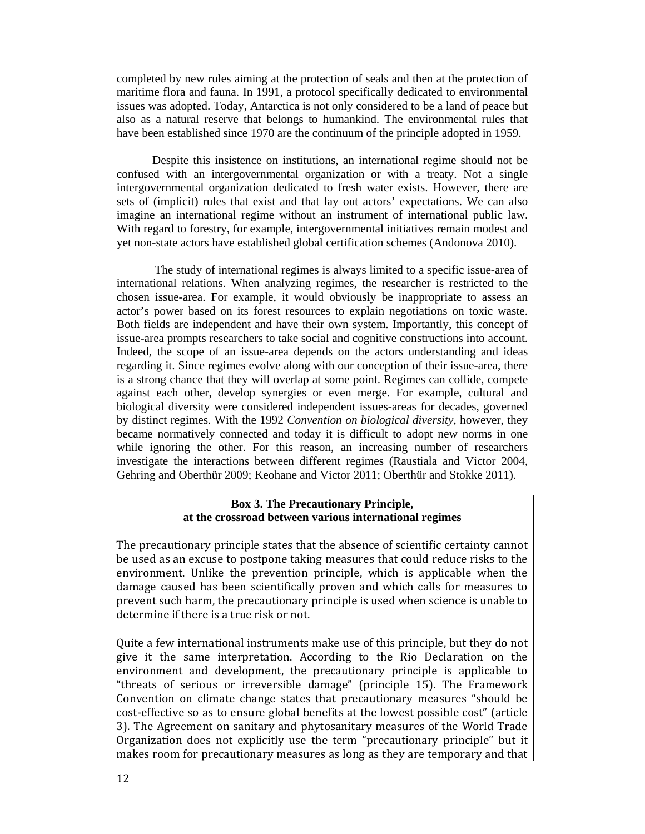completed by new rules aiming at the protection of seals and then at the protection of maritime flora and fauna. In 1991, a protocol specifically dedicated to environmental issues was adopted. Today, Antarctica is not only considered to be a land of peace but also as a natural reserve that belongs to humankind. The environmental rules that have been established since 1970 are the continuum of the principle adopted in 1959.

 Despite this insistence on institutions, an international regime should not be confused with an intergovernmental organization or with a treaty. Not a single intergovernmental organization dedicated to fresh water exists. However, there are sets of (implicit) rules that exist and that lay out actors' expectations. We can also imagine an international regime without an instrument of international public law. With regard to forestry, for example, intergovernmental initiatives remain modest and yet non-state actors have established global certification schemes (Andonova 2010).

 The study of international regimes is always limited to a specific issue-area of international relations. When analyzing regimes, the researcher is restricted to the chosen issue-area. For example, it would obviously be inappropriate to assess an actor's power based on its forest resources to explain negotiations on toxic waste. Both fields are independent and have their own system. Importantly, this concept of issue-area prompts researchers to take social and cognitive constructions into account. Indeed, the scope of an issue-area depends on the actors understanding and ideas regarding it. Since regimes evolve along with our conception of their issue-area, there is a strong chance that they will overlap at some point. Regimes can collide, compete against each other, develop synergies or even merge. For example, cultural and biological diversity were considered independent issues-areas for decades, governed by distinct regimes. With the 1992 *Convention on biological diversity*, however, they became normatively connected and today it is difficult to adopt new norms in one while ignoring the other. For this reason, an increasing number of researchers investigate the interactions between different regimes (Raustiala and Victor 2004, Gehring and Oberthür 2009; Keohane and Victor 2011; Oberthür and Stokke 2011).

### **Box 3. The Precautionary Principle, at the crossroad between various international regimes**

The precautionary principle states that the absence of scientific certainty cannot be used as an excuse to postpone taking measures that could reduce risks to the environment. Unlike the prevention principle, which is applicable when the damage caused has been scientifically proven and which calls for measures to prevent such harm, the precautionary principle is used when science is unable to determine if there is a true risk or not.

Quite a few international instruments make use of this principle, but they do not give it the same interpretation. According to the Rio Declaration on the environment and development, the precautionary principle is applicable to "threats of serious or irreversible damage" (principle 15). The Framework Convention on climate change states that precautionary measures "should be cost-effective so as to ensure global benefits at the lowest possible cost" (article 3). The Agreement on sanitary and phytosanitary measures of the World Trade Organization does not explicitly use the term "precautionary principle" but it makes room for precautionary measures as long as they are temporary and that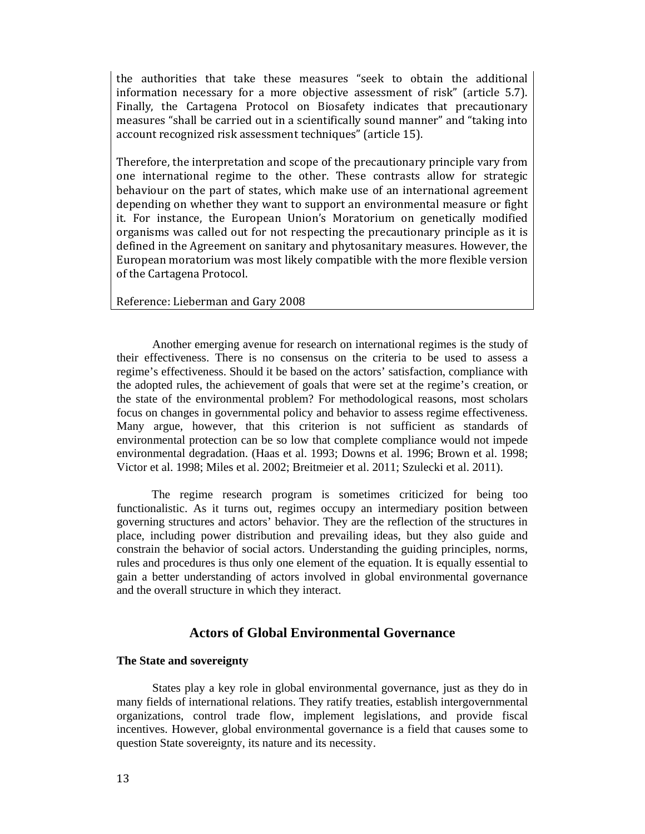the authorities that take these measures "seek to obtain the additional information necessary for a more objective assessment of risk" (article 5.7). Finally, the Cartagena Protocol on Biosafety indicates that precautionary measures "shall be carried out in a scientifically sound manner" and "taking into account recognized risk assessment techniques" (article 15).

Therefore, the interpretation and scope of the precautionary principle vary from one international regime to the other. These contrasts allow for strategic behaviour on the part of states, which make use of an international agreement depending on whether they want to support an environmental measure or fight it. For instance, the European Union's Moratorium on genetically modified organisms was called out for not respecting the precautionary principle as it is defined in the Agreement on sanitary and phytosanitary measures. However, the European moratorium was most likely compatible with the more flexible version of the Cartagena Protocol.

Reference: Lieberman and Gary 2008

 Another emerging avenue for research on international regimes is the study of their effectiveness. There is no consensus on the criteria to be used to assess a regime's effectiveness. Should it be based on the actors' satisfaction, compliance with the adopted rules, the achievement of goals that were set at the regime's creation, or the state of the environmental problem? For methodological reasons, most scholars focus on changes in governmental policy and behavior to assess regime effectiveness. Many argue, however, that this criterion is not sufficient as standards of environmental protection can be so low that complete compliance would not impede environmental degradation. (Haas et al. 1993; Downs et al. 1996; Brown et al. 1998; Victor et al. 1998; Miles et al. 2002; Breitmeier et al. 2011; Szulecki et al. 2011).

The regime research program is sometimes criticized for being too functionalistic. As it turns out, regimes occupy an intermediary position between governing structures and actors' behavior. They are the reflection of the structures in place, including power distribution and prevailing ideas, but they also guide and constrain the behavior of social actors. Understanding the guiding principles, norms, rules and procedures is thus only one element of the equation. It is equally essential to gain a better understanding of actors involved in global environmental governance and the overall structure in which they interact.

### **Actors of Global Environmental Governance**

### **The State and sovereignty**

 States play a key role in global environmental governance, just as they do in many fields of international relations. They ratify treaties, establish intergovernmental organizations, control trade flow, implement legislations, and provide fiscal incentives. However, global environmental governance is a field that causes some to question State sovereignty, its nature and its necessity.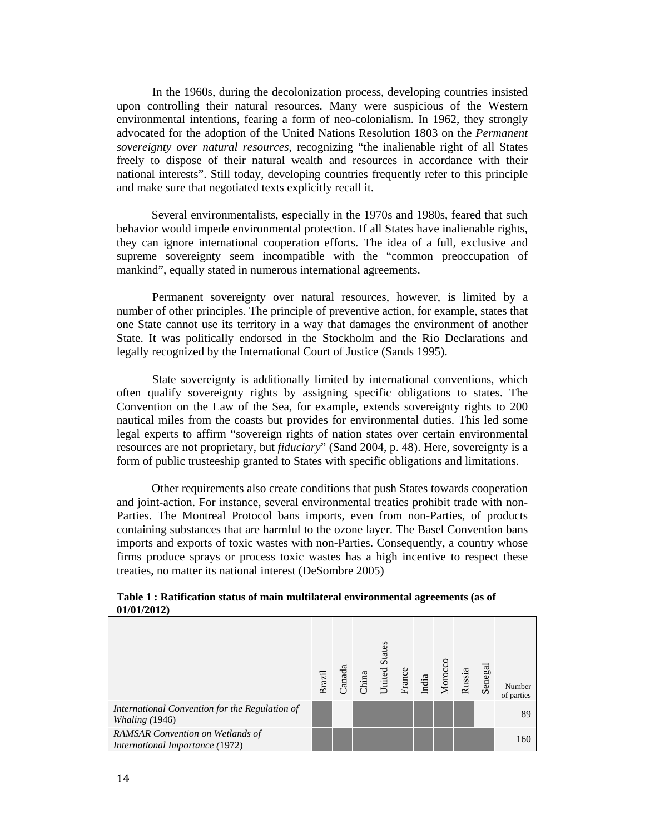In the 1960s, during the decolonization process, developing countries insisted upon controlling their natural resources. Many were suspicious of the Western environmental intentions, fearing a form of neo-colonialism. In 1962, they strongly advocated for the adoption of the United Nations Resolution 1803 on the *Permanent sovereignty over natural resources*, recognizing "the inalienable right of all States freely to dispose of their natural wealth and resources in accordance with their national interests". Still today, developing countries frequently refer to this principle and make sure that negotiated texts explicitly recall it.

Several environmentalists, especially in the 1970s and 1980s, feared that such behavior would impede environmental protection. If all States have inalienable rights, they can ignore international cooperation efforts. The idea of a full, exclusive and supreme sovereignty seem incompatible with the "common preoccupation of mankind", equally stated in numerous international agreements.

 Permanent sovereignty over natural resources, however, is limited by a number of other principles. The principle of preventive action, for example, states that one State cannot use its territory in a way that damages the environment of another State. It was politically endorsed in the Stockholm and the Rio Declarations and legally recognized by the International Court of Justice (Sands 1995).

 State sovereignty is additionally limited by international conventions, which often qualify sovereignty rights by assigning specific obligations to states. The Convention on the Law of the Sea, for example, extends sovereignty rights to 200 nautical miles from the coasts but provides for environmental duties. This led some legal experts to affirm "sovereign rights of nation states over certain environmental resources are not proprietary, but *fiduciary*" (Sand 2004, p. 48). Here, sovereignty is a form of public trusteeship granted to States with specific obligations and limitations.

Other requirements also create conditions that push States towards cooperation and joint-action. For instance, several environmental treaties prohibit trade with non-Parties. The Montreal Protocol bans imports, even from non-Parties, of products containing substances that are harmful to the ozone layer. The Basel Convention bans imports and exports of toxic wastes with non-Parties. Consequently, a country whose firms produce sprays or process toxic wastes has a high incentive to respect these treaties, no matter its national interest (DeSombre 2005)



### **Table 1 : Ratification status of main multilateral environmental agreements (as of 01/01/2012)**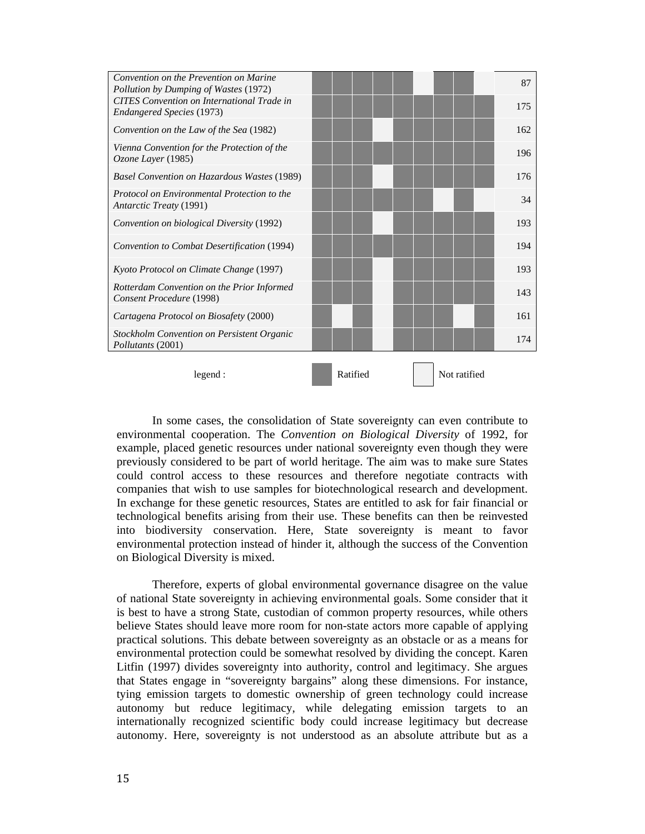| Convention on the Prevention on Marine                                                     |          |  |  |              | 87  |
|--------------------------------------------------------------------------------------------|----------|--|--|--------------|-----|
| Pollution by Dumping of Wastes (1972)<br><b>CITES</b> Convention on International Trade in |          |  |  |              |     |
| <b>Endangered Species (1973)</b>                                                           |          |  |  |              | 175 |
|                                                                                            |          |  |  |              |     |
| Convention on the Law of the Sea (1982)                                                    |          |  |  |              | 162 |
| Vienna Convention for the Protection of the                                                |          |  |  |              | 196 |
| Ozone Layer (1985)                                                                         |          |  |  |              |     |
| <b>Basel Convention on Hazardous Wastes (1989)</b>                                         |          |  |  |              | 176 |
| Protocol on Environmental Protection to the                                                |          |  |  |              | 34  |
| Antarctic Treaty (1991)                                                                    |          |  |  |              |     |
| Convention on biological Diversity (1992)                                                  |          |  |  |              | 193 |
|                                                                                            |          |  |  |              |     |
| Convention to Combat Desertification (1994)                                                |          |  |  |              | 194 |
| Kyoto Protocol on Climate Change (1997)                                                    |          |  |  |              | 193 |
|                                                                                            |          |  |  |              |     |
| Rotterdam Convention on the Prior Informed<br>Consent Procedure (1998)                     |          |  |  |              | 143 |
| Cartagena Protocol on Biosafety (2000)                                                     |          |  |  |              | 161 |
|                                                                                            |          |  |  |              |     |
| <b>Stockholm Convention on Persistent Organic</b>                                          |          |  |  |              | 174 |
| Pollutants (2001)                                                                          |          |  |  |              |     |
|                                                                                            |          |  |  |              |     |
| legend:                                                                                    | Ratified |  |  | Not ratified |     |

 In some cases, the consolidation of State sovereignty can even contribute to environmental cooperation. The *Convention on Biological Diversity* of 1992, for example, placed genetic resources under national sovereignty even though they were previously considered to be part of world heritage. The aim was to make sure States could control access to these resources and therefore negotiate contracts with companies that wish to use samples for biotechnological research and development. In exchange for these genetic resources, States are entitled to ask for fair financial or technological benefits arising from their use. These benefits can then be reinvested into biodiversity conservation. Here, State sovereignty is meant to favor environmental protection instead of hinder it, although the success of the Convention on Biological Diversity is mixed.

 Therefore, experts of global environmental governance disagree on the value of national State sovereignty in achieving environmental goals. Some consider that it is best to have a strong State, custodian of common property resources, while others believe States should leave more room for non-state actors more capable of applying practical solutions. This debate between sovereignty as an obstacle or as a means for environmental protection could be somewhat resolved by dividing the concept. Karen Litfin (1997) divides sovereignty into authority, control and legitimacy. She argues that States engage in "sovereignty bargains" along these dimensions. For instance, tying emission targets to domestic ownership of green technology could increase autonomy but reduce legitimacy, while delegating emission targets to an internationally recognized scientific body could increase legitimacy but decrease autonomy. Here, sovereignty is not understood as an absolute attribute but as a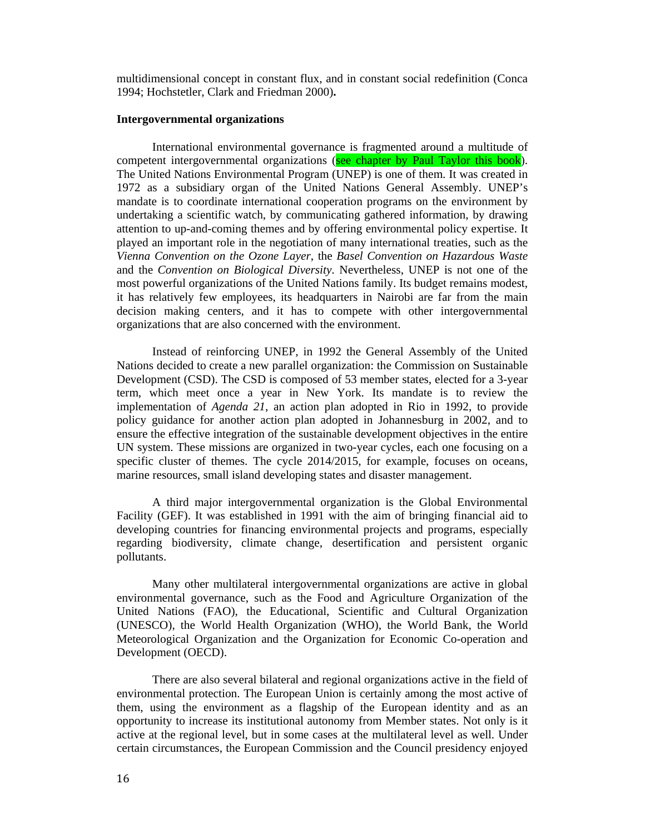multidimensional concept in constant flux, and in constant social redefinition (Conca 1994; Hochstetler, Clark and Friedman 2000)**.** 

#### **Intergovernmental organizations**

International environmental governance is fragmented around a multitude of competent intergovernmental organizations (see chapter by Paul Taylor this book). The United Nations Environmental Program (UNEP) is one of them. It was created in 1972 as a subsidiary organ of the United Nations General Assembly. UNEP's mandate is to coordinate international cooperation programs on the environment by undertaking a scientific watch, by communicating gathered information, by drawing attention to up-and-coming themes and by offering environmental policy expertise. It played an important role in the negotiation of many international treaties, such as the *Vienna Convention on the Ozone Layer*, the *Basel Convention on Hazardous Waste*  and the *Convention on Biological Diversity*. Nevertheless, UNEP is not one of the most powerful organizations of the United Nations family. Its budget remains modest, it has relatively few employees, its headquarters in Nairobi are far from the main decision making centers, and it has to compete with other intergovernmental organizations that are also concerned with the environment.

 Instead of reinforcing UNEP, in 1992 the General Assembly of the United Nations decided to create a new parallel organization: the Commission on Sustainable Development (CSD). The CSD is composed of 53 member states, elected for a 3-year term, which meet once a year in New York. Its mandate is to review the implementation of *Agenda 21*, an action plan adopted in Rio in 1992, to provide policy guidance for another action plan adopted in Johannesburg in 2002, and to ensure the effective integration of the sustainable development objectives in the entire UN system. These missions are organized in two-year cycles, each one focusing on a specific cluster of themes. The cycle 2014/2015, for example, focuses on oceans, marine resources, small island developing states and disaster management.

A third major intergovernmental organization is the Global Environmental Facility (GEF). It was established in 1991 with the aim of bringing financial aid to developing countries for financing environmental projects and programs, especially regarding biodiversity, climate change, desertification and persistent organic pollutants.

 Many other multilateral intergovernmental organizations are active in global environmental governance, such as the Food and Agriculture Organization of the United Nations (FAO), the Educational, Scientific and Cultural Organization (UNESCO), the World Health Organization (WHO), the World Bank, the World Meteorological Organization and the Organization for Economic Co-operation and Development (OECD).

 There are also several bilateral and regional organizations active in the field of environmental protection. The European Union is certainly among the most active of them, using the environment as a flagship of the European identity and as an opportunity to increase its institutional autonomy from Member states. Not only is it active at the regional level, but in some cases at the multilateral level as well. Under certain circumstances, the European Commission and the Council presidency enjoyed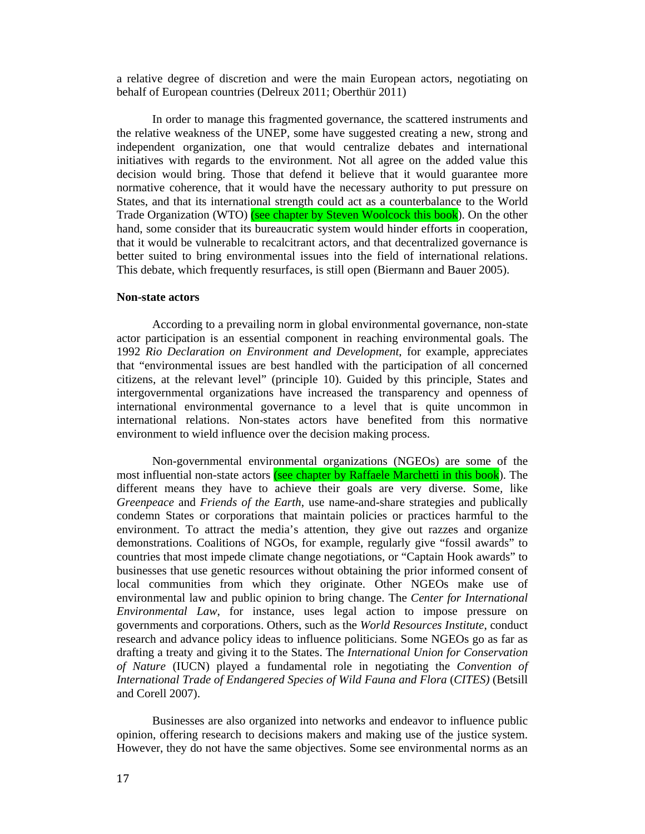a relative degree of discretion and were the main European actors, negotiating on behalf of European countries (Delreux 2011; Oberthür 2011)

In order to manage this fragmented governance, the scattered instruments and the relative weakness of the UNEP, some have suggested creating a new, strong and independent organization, one that would centralize debates and international initiatives with regards to the environment. Not all agree on the added value this decision would bring. Those that defend it believe that it would guarantee more normative coherence, that it would have the necessary authority to put pressure on States, and that its international strength could act as a counterbalance to the World Trade Organization (WTO) (see chapter by Steven Woolcock this book). On the other hand, some consider that its bureaucratic system would hinder efforts in cooperation, that it would be vulnerable to recalcitrant actors, and that decentralized governance is better suited to bring environmental issues into the field of international relations. This debate, which frequently resurfaces, is still open (Biermann and Bauer 2005).

#### **Non-state actors**

According to a prevailing norm in global environmental governance, non-state actor participation is an essential component in reaching environmental goals. The 1992 *Rio Declaration on Environment and Development*, for example, appreciates that "environmental issues are best handled with the participation of all concerned citizens, at the relevant level" (principle 10). Guided by this principle, States and intergovernmental organizations have increased the transparency and openness of international environmental governance to a level that is quite uncommon in international relations. Non-states actors have benefited from this normative environment to wield influence over the decision making process.

Non-governmental environmental organizations (NGEOs) are some of the most influential non-state actors (see chapter by Raffaele Marchetti in this book). The different means they have to achieve their goals are very diverse. Some*,* like *Greenpeace* and *Friends of the Earth*, use name-and-share strategies and publically condemn States or corporations that maintain policies or practices harmful to the environment. To attract the media's attention, they give out razzes and organize demonstrations. Coalitions of NGOs, for example, regularly give "fossil awards" to countries that most impede climate change negotiations, or "Captain Hook awards" to businesses that use genetic resources without obtaining the prior informed consent of local communities from which they originate. Other NGEOs make use of environmental law and public opinion to bring change. The *Center for International Environmental Law*, for instance, uses legal action to impose pressure on governments and corporations. Others, such as the *World Resources Institute*, conduct research and advance policy ideas to influence politicians. Some NGEOs go as far as drafting a treaty and giving it to the States. The *International Union for Conservation of Nature* (IUCN) played a fundamental role in negotiating the *Convention of International Trade of Endangered Species of Wild Fauna and Flora* (*CITES)* (Betsill and Corell 2007).

Businesses are also organized into networks and endeavor to influence public opinion, offering research to decisions makers and making use of the justice system. However, they do not have the same objectives. Some see environmental norms as an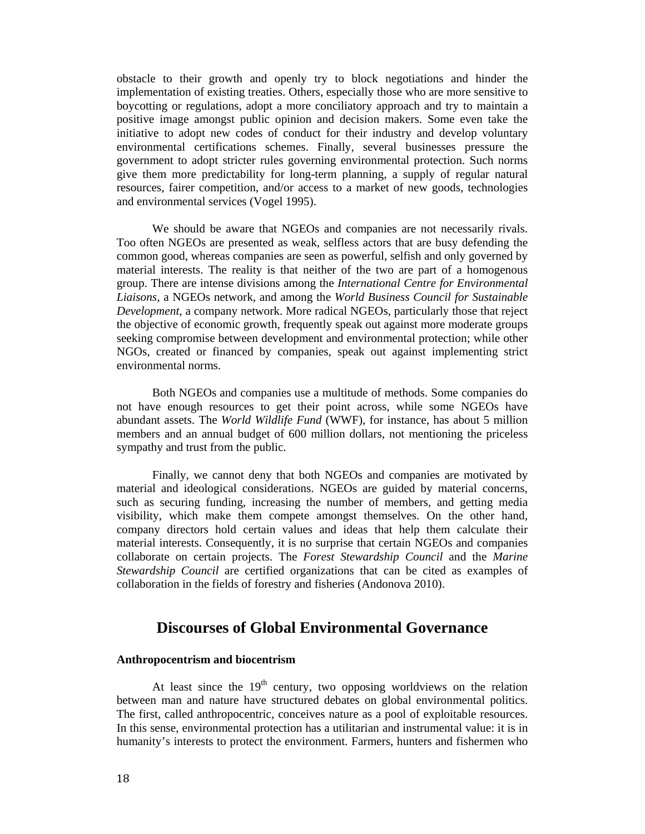obstacle to their growth and openly try to block negotiations and hinder the implementation of existing treaties. Others, especially those who are more sensitive to boycotting or regulations, adopt a more conciliatory approach and try to maintain a positive image amongst public opinion and decision makers. Some even take the initiative to adopt new codes of conduct for their industry and develop voluntary environmental certifications schemes. Finally, several businesses pressure the government to adopt stricter rules governing environmental protection. Such norms give them more predictability for long-term planning, a supply of regular natural resources, fairer competition, and/or access to a market of new goods, technologies and environmental services (Vogel 1995).

We should be aware that NGEOs and companies are not necessarily rivals. Too often NGEOs are presented as weak, selfless actors that are busy defending the common good, whereas companies are seen as powerful, selfish and only governed by material interests. The reality is that neither of the two are part of a homogenous group. There are intense divisions among the *International Centre for Environmental Liaisons*, a NGEOs network, and among the *World Business Council for Sustainable Development*, a company network. More radical NGEOs, particularly those that reject the objective of economic growth, frequently speak out against more moderate groups seeking compromise between development and environmental protection; while other NGOs, created or financed by companies, speak out against implementing strict environmental norms.

Both NGEOs and companies use a multitude of methods. Some companies do not have enough resources to get their point across, while some NGEOs have abundant assets. The *World Wildlife Fund* (WWF), for instance, has about 5 million members and an annual budget of 600 million dollars, not mentioning the priceless sympathy and trust from the public.

Finally, we cannot deny that both NGEOs and companies are motivated by material and ideological considerations. NGEOs are guided by material concerns, such as securing funding, increasing the number of members, and getting media visibility, which make them compete amongst themselves. On the other hand, company directors hold certain values and ideas that help them calculate their material interests. Consequently, it is no surprise that certain NGEOs and companies collaborate on certain projects. The *Forest Stewardship Council* and the *Marine Stewardship Council* are certified organizations that can be cited as examples of collaboration in the fields of forestry and fisheries (Andonova 2010).

## **Discourses of Global Environmental Governance**

### **Anthropocentrism and biocentrism**

At least since the  $19<sup>th</sup>$  century, two opposing worldviews on the relation between man and nature have structured debates on global environmental politics. The first, called anthropocentric, conceives nature as a pool of exploitable resources. In this sense, environmental protection has a utilitarian and instrumental value: it is in humanity's interests to protect the environment. Farmers, hunters and fishermen who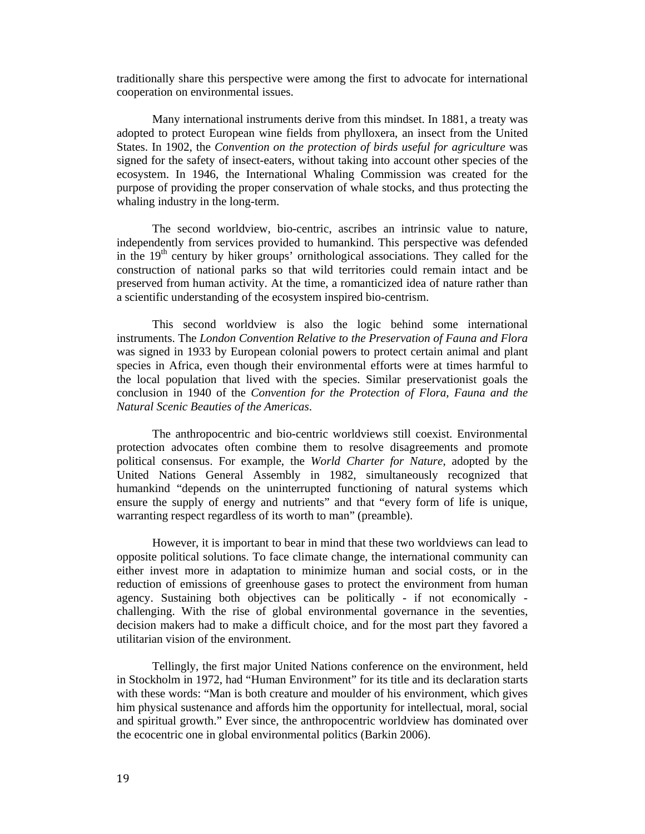traditionally share this perspective were among the first to advocate for international cooperation on environmental issues.

 Many international instruments derive from this mindset. In 1881, a treaty was adopted to protect European wine fields from phylloxera, an insect from the United States. In 1902, the *Convention on the protection of birds useful for agriculture* was signed for the safety of insect-eaters, without taking into account other species of the ecosystem. In 1946, the International Whaling Commission was created for the purpose of providing the proper conservation of whale stocks, and thus protecting the whaling industry in the long-term.

 The second worldview, bio-centric, ascribes an intrinsic value to nature, independently from services provided to humankind. This perspective was defended in the 19<sup>th</sup> century by hiker groups' ornithological associations. They called for the construction of national parks so that wild territories could remain intact and be preserved from human activity. At the time, a romanticized idea of nature rather than a scientific understanding of the ecosystem inspired bio-centrism.

 This second worldview is also the logic behind some international instruments. The *London Convention Relative to the Preservation of Fauna and Flora* was signed in 1933 by European colonial powers to protect certain animal and plant species in Africa, even though their environmental efforts were at times harmful to the local population that lived with the species. Similar preservationist goals the conclusion in 1940 of the *Convention for the Protection of Flora, Fauna and the Natural Scenic Beauties of the Americas*.

 The anthropocentric and bio-centric worldviews still coexist. Environmental protection advocates often combine them to resolve disagreements and promote political consensus. For example, the *World Charter for Nature*, adopted by the United Nations General Assembly in 1982, simultaneously recognized that humankind "depends on the uninterrupted functioning of natural systems which ensure the supply of energy and nutrients" and that "every form of life is unique, warranting respect regardless of its worth to man" (preamble).

However, it is important to bear in mind that these two worldviews can lead to opposite political solutions. To face climate change, the international community can either invest more in adaptation to minimize human and social costs, or in the reduction of emissions of greenhouse gases to protect the environment from human agency. Sustaining both objectives can be politically - if not economically challenging. With the rise of global environmental governance in the seventies, decision makers had to make a difficult choice, and for the most part they favored a utilitarian vision of the environment.

Tellingly, the first major United Nations conference on the environment, held in Stockholm in 1972, had "Human Environment" for its title and its declaration starts with these words: "Man is both creature and moulder of his environment, which gives him physical sustenance and affords him the opportunity for intellectual, moral, social and spiritual growth." Ever since, the anthropocentric worldview has dominated over the ecocentric one in global environmental politics (Barkin 2006).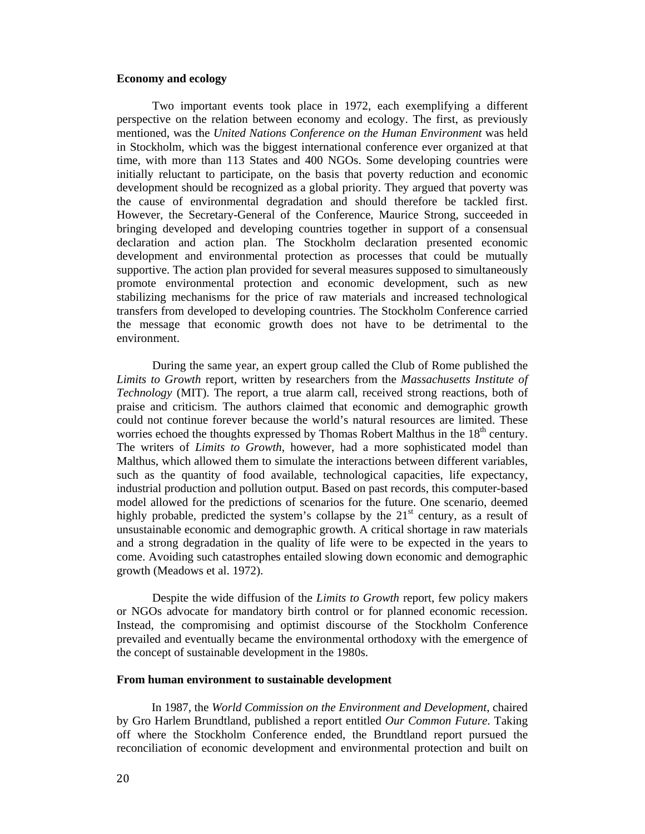### **Economy and ecology**

Two important events took place in 1972, each exemplifying a different perspective on the relation between economy and ecology. The first, as previously mentioned, was the *United Nations Conference on the Human Environment* was held in Stockholm, which was the biggest international conference ever organized at that time, with more than 113 States and 400 NGOs. Some developing countries were initially reluctant to participate, on the basis that poverty reduction and economic development should be recognized as a global priority. They argued that poverty was the cause of environmental degradation and should therefore be tackled first. However, the Secretary-General of the Conference, Maurice Strong, succeeded in bringing developed and developing countries together in support of a consensual declaration and action plan. The Stockholm declaration presented economic development and environmental protection as processes that could be mutually supportive. The action plan provided for several measures supposed to simultaneously promote environmental protection and economic development, such as new stabilizing mechanisms for the price of raw materials and increased technological transfers from developed to developing countries. The Stockholm Conference carried the message that economic growth does not have to be detrimental to the environment.

During the same year, an expert group called the Club of Rome published the *Limits to Growth* report, written by researchers from the *Massachusetts Institute of Technology* (MIT). The report, a true alarm call, received strong reactions, both of praise and criticism. The authors claimed that economic and demographic growth could not continue forever because the world's natural resources are limited. These worries echoed the thoughts expressed by Thomas Robert Malthus in the 18<sup>th</sup> century. The writers of *Limits to Growth*, however, had a more sophisticated model than Malthus, which allowed them to simulate the interactions between different variables, such as the quantity of food available, technological capacities, life expectancy, industrial production and pollution output. Based on past records, this computer-based model allowed for the predictions of scenarios for the future. One scenario, deemed highly probable, predicted the system's collapse by the  $21<sup>st</sup>$  century, as a result of unsustainable economic and demographic growth. A critical shortage in raw materials and a strong degradation in the quality of life were to be expected in the years to come. Avoiding such catastrophes entailed slowing down economic and demographic growth (Meadows et al. 1972).

Despite the wide diffusion of the *Limits to Growth* report, few policy makers or NGOs advocate for mandatory birth control or for planned economic recession. Instead, the compromising and optimist discourse of the Stockholm Conference prevailed and eventually became the environmental orthodoxy with the emergence of the concept of sustainable development in the 1980s.

#### **From human environment to sustainable development**

In 1987, the *World Commission on the Environment and Development*, chaired by Gro Harlem Brundtland, published a report entitled *Our Common Future*. Taking off where the Stockholm Conference ended, the Brundtland report pursued the reconciliation of economic development and environmental protection and built on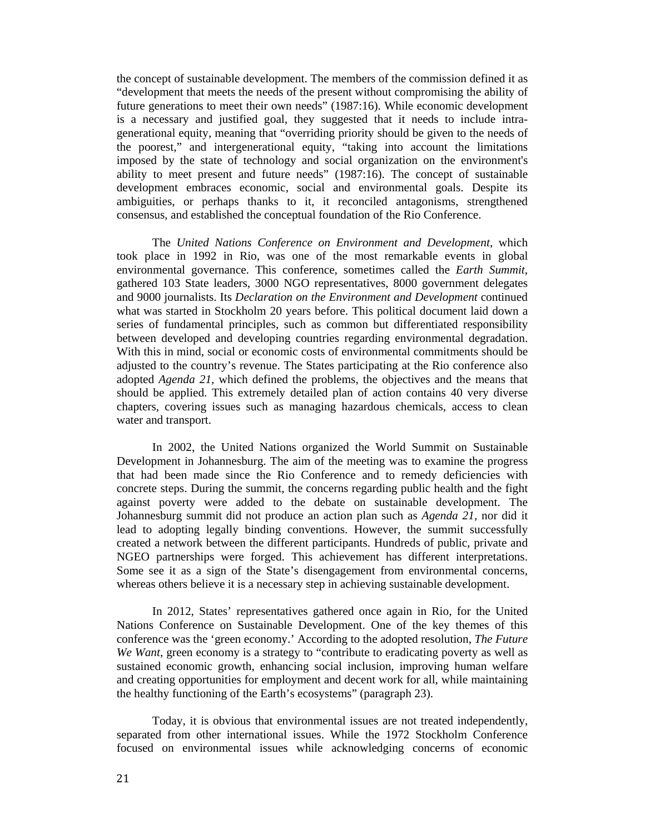the concept of sustainable development. The members of the commission defined it as "development that meets the needs of the present without compromising the ability of future generations to meet their own needs" (1987:16). While economic development is a necessary and justified goal, they suggested that it needs to include intragenerational equity, meaning that "overriding priority should be given to the needs of the poorest," and intergenerational equity, "taking into account the limitations imposed by the state of technology and social organization on the environment's ability to meet present and future needs" (1987:16). The concept of sustainable development embraces economic, social and environmental goals. Despite its ambiguities, or perhaps thanks to it, it reconciled antagonisms, strengthened consensus, and established the conceptual foundation of the Rio Conference.

 The *United Nations Conference on Environment and Development*, which took place in 1992 in Rio, was one of the most remarkable events in global environmental governance. This conference, sometimes called the *Earth Summit*, gathered 103 State leaders, 3000 NGO representatives, 8000 government delegates and 9000 journalists. Its *Declaration on the Environment and Development* continued what was started in Stockholm 20 years before. This political document laid down a series of fundamental principles, such as common but differentiated responsibility between developed and developing countries regarding environmental degradation. With this in mind, social or economic costs of environmental commitments should be adjusted to the country's revenue. The States participating at the Rio conference also adopted *Agenda 21,* which defined the problems, the objectives and the means that should be applied. This extremely detailed plan of action contains 40 very diverse chapters, covering issues such as managing hazardous chemicals, access to clean water and transport.

 In 2002, the United Nations organized the World Summit on Sustainable Development in Johannesburg. The aim of the meeting was to examine the progress that had been made since the Rio Conference and to remedy deficiencies with concrete steps. During the summit, the concerns regarding public health and the fight against poverty were added to the debate on sustainable development. The Johannesburg summit did not produce an action plan such as *Agenda 21,* nor did it lead to adopting legally binding conventions. However, the summit successfully created a network between the different participants. Hundreds of public, private and NGEO partnerships were forged. This achievement has different interpretations. Some see it as a sign of the State's disengagement from environmental concerns, whereas others believe it is a necessary step in achieving sustainable development.

 In 2012, States' representatives gathered once again in Rio, for the United Nations Conference on Sustainable Development. One of the key themes of this conference was the 'green economy.' According to the adopted resolution, *The Future We Want*, green economy is a strategy to "contribute to eradicating poverty as well as sustained economic growth, enhancing social inclusion, improving human welfare and creating opportunities for employment and decent work for all, while maintaining the healthy functioning of the Earth's ecosystems" (paragraph 23).

 Today, it is obvious that environmental issues are not treated independently, separated from other international issues. While the 1972 Stockholm Conference focused on environmental issues while acknowledging concerns of economic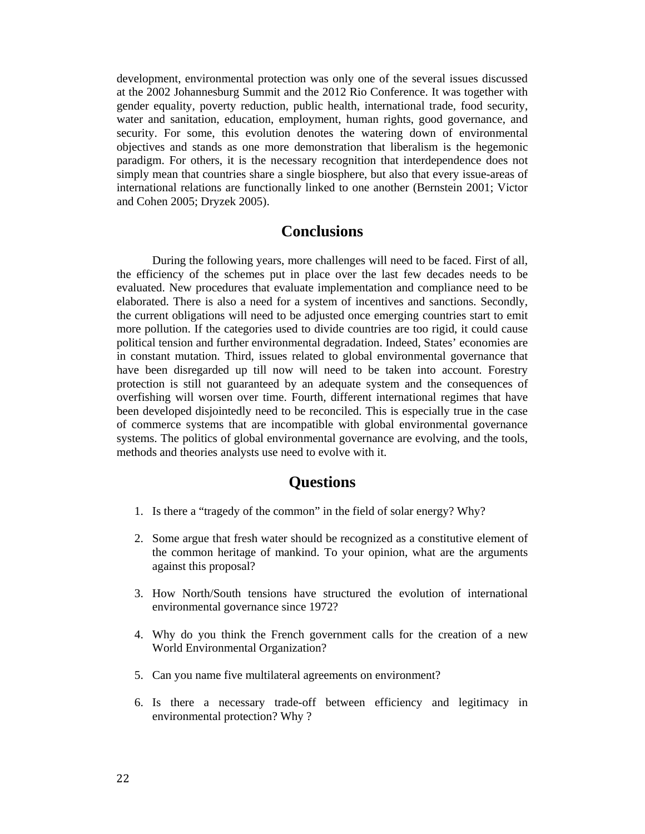development, environmental protection was only one of the several issues discussed at the 2002 Johannesburg Summit and the 2012 Rio Conference. It was together with gender equality, poverty reduction, public health, international trade, food security, water and sanitation, education, employment, human rights, good governance, and security. For some, this evolution denotes the watering down of environmental objectives and stands as one more demonstration that liberalism is the hegemonic paradigm. For others, it is the necessary recognition that interdependence does not simply mean that countries share a single biosphere, but also that every issue-areas of international relations are functionally linked to one another (Bernstein 2001; Victor and Cohen 2005; Dryzek 2005).

### **Conclusions**

 During the following years, more challenges will need to be faced. First of all, the efficiency of the schemes put in place over the last few decades needs to be evaluated. New procedures that evaluate implementation and compliance need to be elaborated. There is also a need for a system of incentives and sanctions. Secondly, the current obligations will need to be adjusted once emerging countries start to emit more pollution. If the categories used to divide countries are too rigid, it could cause political tension and further environmental degradation. Indeed, States' economies are in constant mutation. Third, issues related to global environmental governance that have been disregarded up till now will need to be taken into account. Forestry protection is still not guaranteed by an adequate system and the consequences of overfishing will worsen over time. Fourth, different international regimes that have been developed disjointedly need to be reconciled. This is especially true in the case of commerce systems that are incompatible with global environmental governance systems. The politics of global environmental governance are evolving, and the tools, methods and theories analysts use need to evolve with it.

## **Questions**

- 1. Is there a "tragedy of the common" in the field of solar energy? Why?
- 2. Some argue that fresh water should be recognized as a constitutive element of the common heritage of mankind. To your opinion, what are the arguments against this proposal?
- 3. How North/South tensions have structured the evolution of international environmental governance since 1972?
- 4. Why do you think the French government calls for the creation of a new World Environmental Organization?
- 5. Can you name five multilateral agreements on environment?
- 6. Is there a necessary trade-off between efficiency and legitimacy in environmental protection? Why ?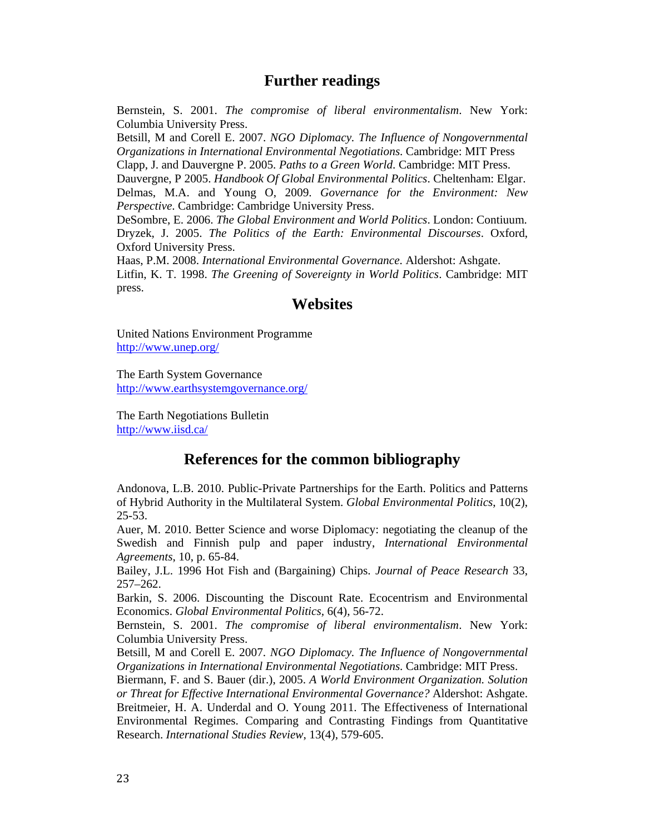## **Further readings**

Bernstein, S. 2001. *The compromise of liberal environmentalism*. New York: Columbia University Press.

Betsill, M and Corell E. 2007. *NGO Diplomacy. The Influence of Nongovernmental Organizations in International Environmental Negotiations*. Cambridge: MIT Press Clapp, J. and Dauvergne P. 2005. *Paths to a Green World*. Cambridge: MIT Press.

Dauvergne, P 2005. *Handbook Of Global Environmental Politics*. Cheltenham: Elgar. Delmas, M.A. and Young O, 2009. *Governance for the Environment: New* 

*Perspective*. Cambridge: Cambridge University Press.

DeSombre, E. 2006. *The Global Environment and World Politics*. London: Contiuum. Dryzek, J. 2005. *The Politics of the Earth: Environmental Discourses*. Oxford, Oxford University Press.

Haas, P.M. 2008. *International Environmental Governance*. Aldershot: Ashgate. Litfin, K. T. 1998. *The Greening of Sovereignty in World Politics*. Cambridge: MIT press.

## **Websites**

United Nations Environment Programme http://www.unep.org/

The Earth System Governance http://www.earthsystemgovernance.org/

The Earth Negotiations Bulletin http://www.iisd.ca/

## **References for the common bibliography**

Andonova, L.B. 2010. Public-Private Partnerships for the Earth. Politics and Patterns of Hybrid Authority in the Multilateral System. *Global Environmental Politics*, 10(2), 25-53.

Auer, M. 2010. Better Science and worse Diplomacy: negotiating the cleanup of the Swedish and Finnish pulp and paper industry, *International Environmental Agreements*, 10, p. 65-84.

Bailey, J.L. 1996 Hot Fish and (Bargaining) Chips. *Journal of Peace Research* 33, 257–262.

Barkin, S. 2006. Discounting the Discount Rate. Ecocentrism and Environmental Economics. *Global Environmental Politics,* 6(4), 56-72.

Bernstein, S. 2001. *The compromise of liberal environmentalism*. New York: Columbia University Press.

Betsill, M and Corell E. 2007. *NGO Diplomacy. The Influence of Nongovernmental Organizations in International Environmental Negotiations*. Cambridge: MIT Press.

Biermann, F. and S. Bauer (dir.), 2005. *A World Environment Organization. Solution or Threat for Effective International Environmental Governance?* Aldershot: Ashgate. Breitmeier, H. A. Underdal and O. Young 2011. The Effectiveness of International Environmental Regimes. Comparing and Contrasting Findings from Quantitative Research. *International Studies Review*, 13(4), 579-605.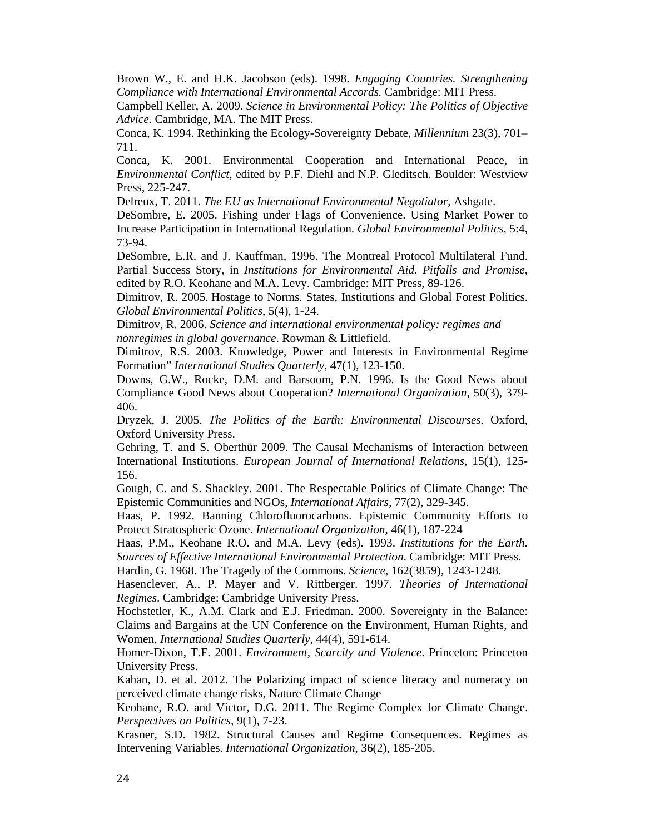Brown W., E. and H.K. Jacobson (eds). 1998. *Engaging Countries. Strengthening Compliance with International Environmental Accords.* Cambridge: MIT Press.

Campbell Keller, A. 2009. *Science in Environmental Policy: The Politics of Objective Advice.* Cambridge, MA. The MIT Press.

Conca, K. 1994. Rethinking the Ecology-Sovereignty Debate, *Millennium* 23(3), 701– 711.

Conca, K. 2001. Environmental Cooperation and International Peace, in *Environmental Conflict*, edited by P.F. Diehl and N.P. Gleditsch. Boulder: Westview Press, 225-247.

Delreux, T. 2011. *The EU as International Environmental Negotiator*, Ashgate.

DeSombre, E. 2005. Fishing under Flags of Convenience. Using Market Power to Increase Participation in International Regulation. *Global Environmental Politics,* 5:4, 73-94.

DeSombre, E.R. and J. Kauffman, 1996. The Montreal Protocol Multilateral Fund. Partial Success Story, in *Institutions for Environmental Aid. Pitfalls and Promise*, edited by R.O. Keohane and M.A. Levy. Cambridge: MIT Press, 89-126.

Dimitrov, R. 2005. Hostage to Norms. States, Institutions and Global Forest Politics. *Global Environmental Politics*, 5(4), 1-24.

Dimitrov, R. 2006. *Science and international environmental policy: regimes and nonregimes in global governance*. Rowman & Littlefield.

Dimitrov, R.S. 2003. Knowledge, Power and Interests in Environmental Regime Formation" *International Studies Quarterly*, 47(1), 123-150.

Downs, G.W., Rocke, D.M. and Barsoom, P.N. 1996. Is the Good News about Compliance Good News about Cooperation? *International Organization*, 50(3), 379- 406.

Dryzek, J. 2005. *The Politics of the Earth: Environmental Discourses*. Oxford, Oxford University Press.

Gehring, T. and S. Oberthür 2009. The Causal Mechanisms of Interaction between International Institutions. *European Journal of International Relations*, 15(1), 125- 156.

Gough, C. and S. Shackley. 2001. The Respectable Politics of Climate Change: The Epistemic Communities and NGOs, *International Affairs,* 77(2), 329-345.

Haas, P. 1992. Banning Chlorofluorocarbons. Epistemic Community Efforts to Protect Stratospheric Ozone. *International Organization*, 46(1), 187-224

Haas, P.M., Keohane R.O. and M.A. Levy (eds). 1993. *Institutions for the Earth. Sources of Effective International Environmental Protection*. Cambridge: MIT Press. Hardin, G. 1968. The Tragedy of the Commons. *Science*, 162(3859), 1243-1248.

Hasenclever, A., P. Mayer and V. Rittberger. 1997. *Theories of International Regimes*. Cambridge: Cambridge University Press.

Hochstetler, K., A.M. Clark and E.J. Friedman. 2000. Sovereignty in the Balance: Claims and Bargains at the UN Conference on the Environment, Human Rights, and Women, *International Studies Quarterly*, 44(4), 591-614.

Homer-Dixon, T.F. 2001. *Environment, Scarcity and Violence*. Princeton: Princeton University Press.

Kahan, D. et al. 2012. The Polarizing impact of science literacy and numeracy on perceived climate change risks, Nature Climate Change

Keohane, R.O. and Victor, D.G. 2011. The Regime Complex for Climate Change. *Perspectives on Politics,* 9(1), 7-23.

Krasner, S.D. 1982. Structural Causes and Regime Consequences. Regimes as Intervening Variables. *International Organization*, 36(2), 185-205.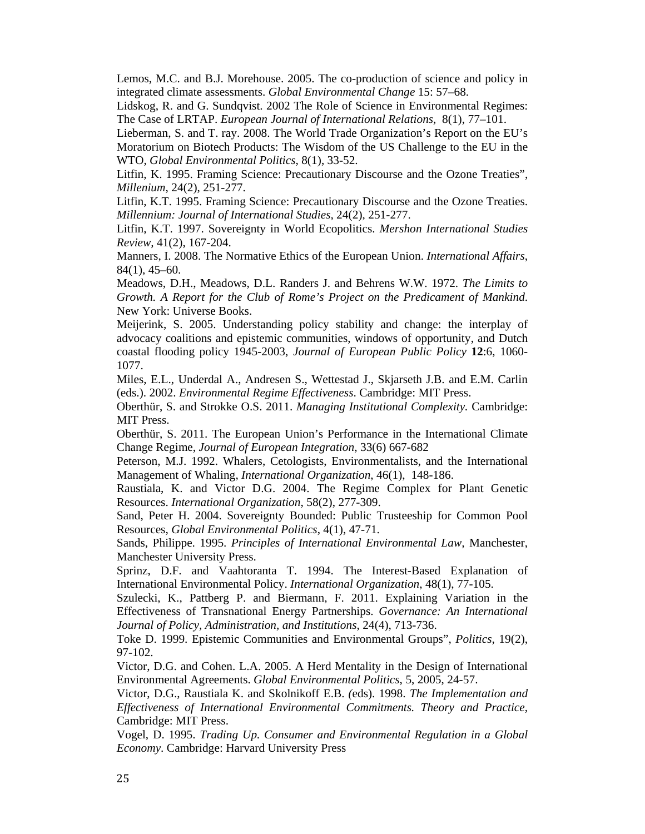Lemos, M.C. and B.J. Morehouse. 2005. The co-production of science and policy in integrated climate assessments. *Global Environmental Change* 15: 57–68.

Lidskog, R. and G. Sundqvist. 2002 The Role of Science in Environmental Regimes: The Case of LRTAP. *European Journal of International Relations,* 8(1), 77–101.

Lieberman, S. and T. ray. 2008. The World Trade Organization's Report on the EU's Moratorium on Biotech Products: The Wisdom of the US Challenge to the EU in the WTO, *Global Environmental Politics*, 8(1), 33-52.

Litfin, K. 1995. Framing Science: Precautionary Discourse and the Ozone Treaties", *Millenium*, 24(2), 251-277.

Litfin, K.T. 1995. Framing Science: Precautionary Discourse and the Ozone Treaties. *Millennium: Journal of International Studies,* 24(2), 251-277.

Litfin, K.T. 1997. Sovereignty in World Ecopolitics. *Mershon International Studies Review,* 41(2), 167-204.

Manners, I. 2008. The Normative Ethics of the European Union. *International Affairs*, 84(1), 45–60.

Meadows, D.H., Meadows, D.L. Randers J. and Behrens W.W. 1972. *The Limits to Growth. A Report for the Club of Rome's Project on the Predicament of Mankind*. New York: Universe Books.

Meijerink, S. 2005. Understanding policy stability and change: the interplay of advocacy coalitions and epistemic communities, windows of opportunity, and Dutch coastal flooding policy 1945-2003, *Journal of European Public Policy* **12**:6, 1060- 1077.

Miles, E.L., Underdal A., Andresen S., Wettestad J., Skjarseth J.B. and E.M. Carlin (eds.). 2002. *Environmental Regime Effectiveness*. Cambridge: MIT Press.

Oberthür, S. and Strokke O.S. 2011. *Managing Institutional Complexity.* Cambridge: MIT Press.

Oberthür, S. 2011. The European Union's Performance in the International Climate Change Regime, *Journal of European Integration*, 33(6) 667-682

Peterson, M.J. 1992. Whalers, Cetologists, Environmentalists, and the International Management of Whaling, *International Organization*, 46(1), 148-186.

Raustiala, K. and Victor D.G. 2004. The Regime Complex for Plant Genetic Resources. *International Organization*, 58(2), 277-309.

Sand, Peter H. 2004. Sovereignty Bounded: Public Trusteeship for Common Pool Resources, *Global Environmental Politics*, 4(1), 47-71.

Sands, Philippe. 1995. *Principles of International Environmental Law,* Manchester, Manchester University Press.

Sprinz, D.F. and Vaahtoranta T. 1994. The Interest-Based Explanation of International Environmental Policy. *International Organization*, 48(1), 77-105.

Szulecki, K., Pattberg P. and Biermann, F. 2011. Explaining Variation in the Effectiveness of Transnational Energy Partnerships. *Governance: An International Journal of Policy, Administration, and Institutions*, 24(4), 713-736.

Toke D. 1999. Epistemic Communities and Environmental Groups", *Politics,* 19(2), 97-102.

Victor, D.G. and Cohen. L.A. 2005. A Herd Mentality in the Design of International Environmental Agreements. *Global Environmental Politics*, 5, 2005, 24-57.

Victor, D.G., Raustiala K. and Skolnikoff E.B. *(*eds). 1998. *The Implementation and Effectiveness of International Environmental Commitments. Theory and Practice*, Cambridge: MIT Press.

Vogel, D. 1995. *Trading Up. Consumer and Environmental Regulation in a Global Economy*. Cambridge: Harvard University Press